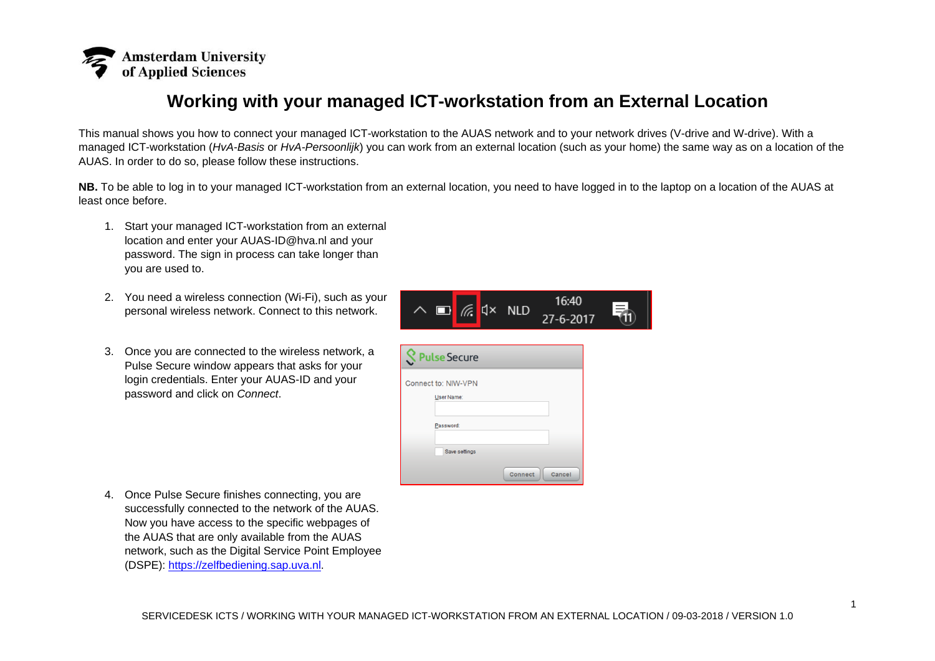

## **Working with your managed ICT-workstation from an External Location**

This manual shows you how to connect your managed ICT-workstation to the AUAS network and to your network drives (V-drive and W-drive). With a managed ICT-workstation (*HvA-Basis* or *HvA-Persoonlijk*) you can work from an external location (such as your home) the same way as on a location of the AUAS. In order to do so, please follow these instructions.

**NB.** To be able to log in to your managed ICT-workstation from an external location, you need to have logged in to the laptop on a location of the AUAS at least once before.

- 1. Start your managed ICT-workstation from an external location and enter your AUAS-ID@hva.nl and your password. The sign in process can take longer than you are used to.
- 2. You need a wireless connection (Wi-Fi), such as your personal wireless network. Connect to this network.
- 3. Once you are connected to the wireless network, a Pulse Secure window appears that asks for your login credentials. Enter your AUAS-ID and your password and click on *Connect*.

| $\Box$ $\mathbb{R}$ $\triangleleft$ x NLD | 16:40<br>$27 - 6 - 2017$ | Ξ |
|-------------------------------------------|--------------------------|---|
| <b>S</b> Pulse Secure                     |                          |   |
| Connect to: NIW-VPN<br>User Name:         |                          |   |
| Password:<br>Save settings                |                          |   |

Connect Cancel

4. Once Pulse Secure finishes connecting, you are successfully connected to the network of the AUAS. Now you have access to the specific webpages of the AUAS that are only available from the AUAS network, such as the Digital Service Point Employee (DSPE): [https://zelfbediening.sap.uva.nl.](https://zelfbediening.sap.uva.nl/)